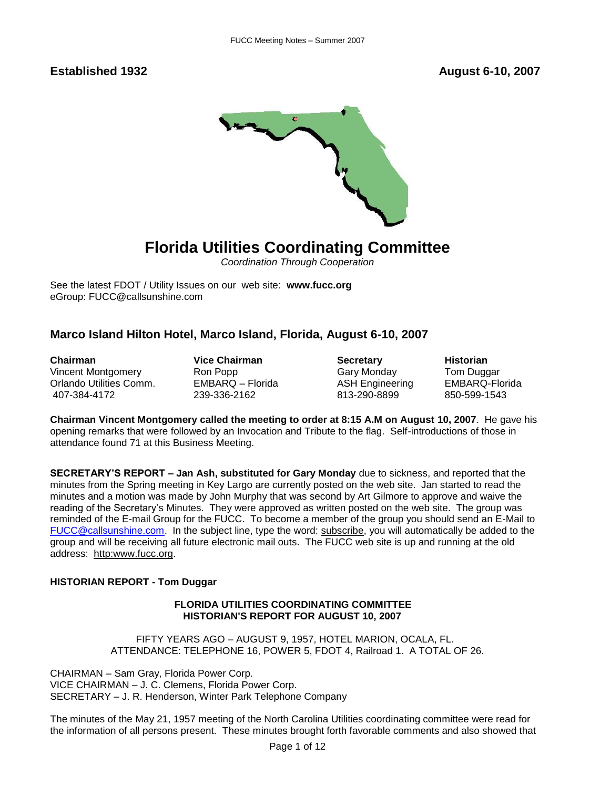**Established 1932 August 6-10, 2007** 



## **Florida Utilities Coordinating Committee**

*Coordination Through Cooperation*

See the latest FDOT / Utility Issues on our web site: **[www.fucc.org](http://www.fucc.org/)** eGroup: FUCC@callsunshine.com

## **Marco Island Hilton Hotel, Marco Island, Florida, August 6-10, 2007**

**Chairman Chairman Chairman Chairman Chairman Secretary Historian**<br>
Vincent Montgomery Ron Popp Cary Monday Tom Dugo Vincent Montgomery Ron Popp Gary Monday Tom Duggar Orlando Utilities Comm. EMBARQ – Florida ASH Engineering EMBARQ-Florida

407-384-4172 239-336-2162 813-290-8899 850-599-1543

**Chairman Vincent Montgomery called the meeting to order at 8:15 A.M on August 10, 2007**. He gave his opening remarks that were followed by an Invocation and Tribute to the flag. Self-introductions of those in attendance found 71 at this Business Meeting.

**SECRETARY'S REPORT – Jan Ash, substituted for Gary Monday** due to sickness, and reported that the minutes from the Spring meeting in Key Largo are currently posted on the web site. Jan started to read the minutes and a motion was made by John Murphy that was second by Art Gilmore to approve and waive the reading of the Secretary's Minutes. They were approved as written posted on the web site. The group was reminded of the E-mail Group for the FUCC. To become a member of the group you should send an E-Mail to [FUCC@callsunshine.com.](mailto:FUCC@callsunshine.com) In the subject line, type the word: subscribe, you will automatically be added to the group and will be receiving all future electronic mail outs. The FUCC web site is up and running at the old address: http:www.fucc.org.

## **HISTORIAN REPORT - Tom Duggar**

## **FLORIDA UTILITIES COORDINATING COMMITTEE HISTORIAN'S REPORT FOR AUGUST 10, 2007**

FIFTY YEARS AGO – AUGUST 9, 1957, HOTEL MARION, OCALA, FL. ATTENDANCE: TELEPHONE 16, POWER 5, FDOT 4, Railroad 1. A TOTAL OF 26.

CHAIRMAN – Sam Gray, Florida Power Corp. VICE CHAIRMAN – J. C. Clemens, Florida Power Corp. SECRETARY – J. R. Henderson, Winter Park Telephone Company

The minutes of the May 21, 1957 meeting of the North Carolina Utilities coordinating committee were read for the information of all persons present. These minutes brought forth favorable comments and also showed that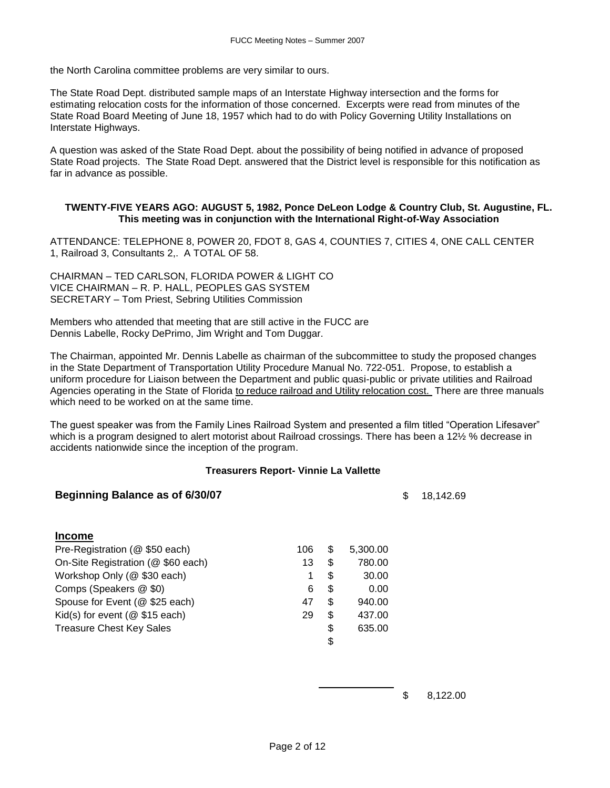the North Carolina committee problems are very similar to ours.

The State Road Dept. distributed sample maps of an Interstate Highway intersection and the forms for estimating relocation costs for the information of those concerned. Excerpts were read from minutes of the State Road Board Meeting of June 18, 1957 which had to do with Policy Governing Utility Installations on Interstate Highways.

A question was asked of the State Road Dept. about the possibility of being notified in advance of proposed State Road projects. The State Road Dept. answered that the District level is responsible for this notification as far in advance as possible.

### **TWENTY-FIVE YEARS AGO: AUGUST 5, 1982, Ponce DeLeon Lodge & Country Club, St. Augustine, FL. This meeting was in conjunction with the International Right-of-Way Association**

ATTENDANCE: TELEPHONE 8, POWER 20, FDOT 8, GAS 4, COUNTIES 7, CITIES 4, ONE CALL CENTER 1, Railroad 3, Consultants 2,. A TOTAL OF 58.

CHAIRMAN – TED CARLSON, FLORIDA POWER & LIGHT CO VICE CHAIRMAN – R. P. HALL, PEOPLES GAS SYSTEM SECRETARY – Tom Priest, Sebring Utilities Commission

Members who attended that meeting that are still active in the FUCC are Dennis Labelle, Rocky DePrimo, Jim Wright and Tom Duggar.

The Chairman, appointed Mr. Dennis Labelle as chairman of the subcommittee to study the proposed changes in the State Department of Transportation Utility Procedure Manual No. 722-051. Propose, to establish a uniform procedure for Liaison between the Department and public quasi-public or private utilities and Railroad Agencies operating in the State of Florida to reduce railroad and Utility relocation cost. There are three manuals which need to be worked on at the same time.

The guest speaker was from the Family Lines Railroad System and presented a film titled "Operation Lifesaver" which is a program designed to alert motorist about Railroad crossings. There has been a 12½ % decrease in accidents nationwide since the inception of the program.

### **Treasurers Report- Vinnie La Vallette**

|     |                | \$<br>18,142.69 |
|-----|----------------|-----------------|
|     |                |                 |
| 106 | \$<br>5,300.00 |                 |
| 13  | \$<br>780.00   |                 |
| 1   | \$<br>30.00    |                 |
| 6   | \$<br>0.00     |                 |
| 47  | \$<br>940.00   |                 |
| 29  | \$<br>437.00   |                 |
|     | \$<br>635.00   |                 |
|     | \$             |                 |
|     |                |                 |

\$ 8,122.00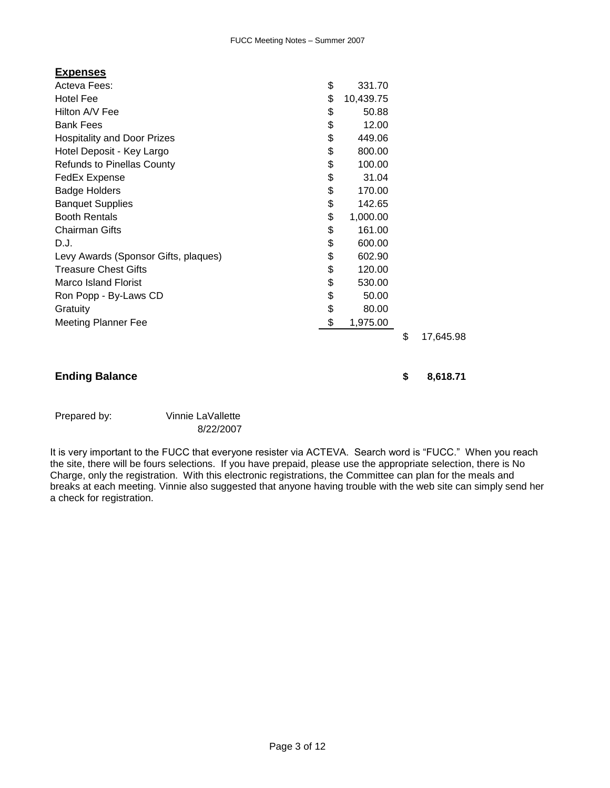| <b>Expenses</b>                      |                 |                 |
|--------------------------------------|-----------------|-----------------|
| Acteva Fees:                         | \$<br>331.70    |                 |
| <b>Hotel Fee</b>                     | \$<br>10,439.75 |                 |
| Hilton A/V Fee                       | \$<br>50.88     |                 |
| <b>Bank Fees</b>                     | \$<br>12.00     |                 |
| <b>Hospitality and Door Prizes</b>   | \$<br>449.06    |                 |
| Hotel Deposit - Key Largo            | \$<br>800.00    |                 |
| <b>Refunds to Pinellas County</b>    | \$<br>100.00    |                 |
| FedEx Expense                        | \$<br>31.04     |                 |
| <b>Badge Holders</b>                 | \$<br>170.00    |                 |
| <b>Banquet Supplies</b>              | \$<br>142.65    |                 |
| <b>Booth Rentals</b>                 | \$<br>1,000.00  |                 |
| <b>Chairman Gifts</b>                | \$<br>161.00    |                 |
| D.J.                                 | \$<br>600.00    |                 |
| Levy Awards (Sponsor Gifts, plaques) | \$<br>602.90    |                 |
| <b>Treasure Chest Gifts</b>          | \$<br>120.00    |                 |
| <b>Marco Island Florist</b>          | \$<br>530.00    |                 |
| Ron Popp - By-Laws CD                | \$<br>50.00     |                 |
| Gratuity                             | \$<br>80.00     |                 |
| <b>Meeting Planner Fee</b>           | \$<br>1,975.00  |                 |
|                                      |                 | \$<br>17,645.98 |

## **Ending Balance \$ 8,618.71**

## Prepared by: Vinnie LaVallette

8/22/2007

It is very important to the FUCC that everyone resister via ACTEVA. Search word is "FUCC." When you reach the site, there will be fours selections. If you have prepaid, please use the appropriate selection, there is No Charge, only the registration. With this electronic registrations, the Committee can plan for the meals and breaks at each meeting. Vinnie also suggested that anyone having trouble with the web site can simply send her a check for registration.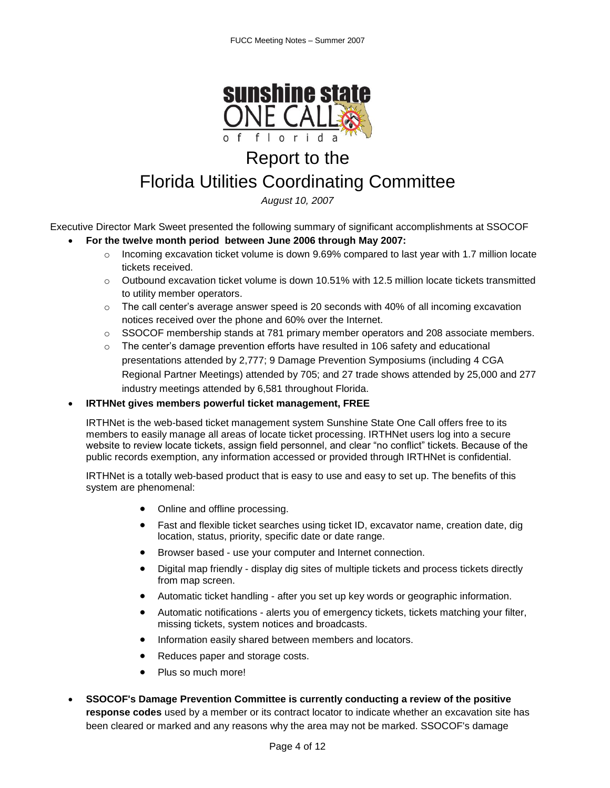

# Report to the

## Florida Utilities Coordinating Committee

*August 10, 2007*

Executive Director Mark Sweet presented the following summary of significant accomplishments at SSOCOF

- **For the twelve month period between June 2006 through May 2007:** 
	- $\circ$  Incoming excavation ticket volume is down 9.69% compared to last year with 1.7 million locate tickets received.
	- $\circ$  Outbound excavation ticket volume is down 10.51% with 12.5 million locate tickets transmitted to utility member operators.
	- o The call center's average answer speed is 20 seconds with 40% of all incoming excavation notices received over the phone and 60% over the Internet.
	- $\circ$  SSOCOF membership stands at 781 primary member operators and 208 associate members.
	- $\circ$  The center's damage prevention efforts have resulted in 106 safety and educational presentations attended by 2,777; 9 Damage Prevention Symposiums (including 4 CGA Regional Partner Meetings) attended by 705; and 27 trade shows attended by 25,000 and 277 industry meetings attended by 6,581 throughout Florida.

## **IRTHNet gives members powerful ticket management, FREE**

IRTHNet is the web-based ticket management system Sunshine State One Call offers free to its members to easily manage all areas of locate ticket processing. IRTHNet users log into a secure website to review locate tickets, assign field personnel, and clear "no conflict" tickets. Because of the public records exemption, any information accessed or provided through IRTHNet is confidential.

IRTHNet is a totally web-based product that is easy to use and easy to set up. The benefits of this system are phenomenal:

- Online and offline processing.
- Fast and flexible ticket searches using ticket ID, excavator name, creation date, dig location, status, priority, specific date or date range.
- Browser based use your computer and Internet connection.
- Digital map friendly display dig sites of multiple tickets and process tickets directly from map screen.
- Automatic ticket handling after you set up key words or geographic information.
- Automatic notifications alerts you of emergency tickets, tickets matching your filter, missing tickets, system notices and broadcasts.
- Information easily shared between members and locators.
- Reduces paper and storage costs.
- Plus so much more!
- **SSOCOF's Damage Prevention Committee is currently conducting a review of the positive response codes** used by a member or its contract locator to indicate whether an excavation site has been cleared or marked and any reasons why the area may not be marked. SSOCOF's damage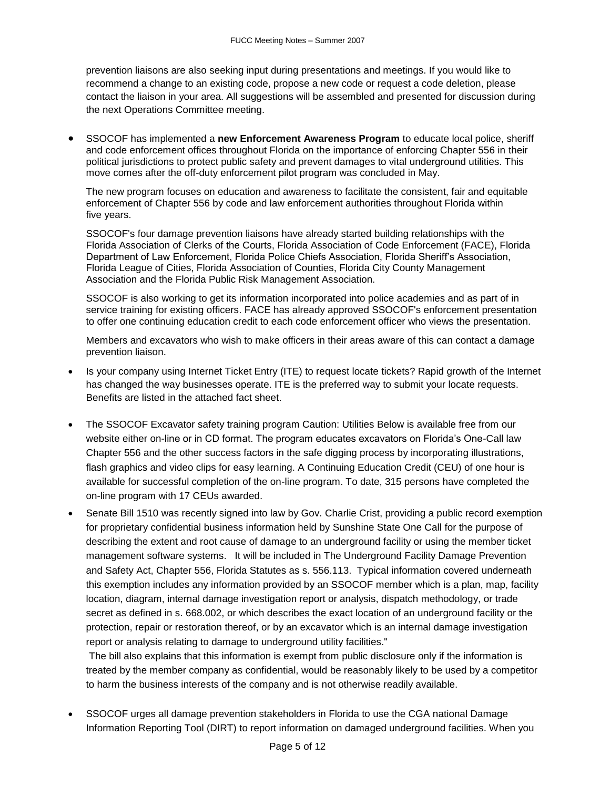prevention liaisons are also seeking input during presentations and meetings. If you would like to recommend a change to an existing code, propose a new code or request a code deletion, please contact the liaison in your area. All suggestions will be assembled and presented for discussion during the next Operations Committee meeting.

 SSOCOF has implemented a **new Enforcement Awareness Program** to educate local police, sheriff and code enforcement offices throughout Florida on the importance of enforcing Chapter 556 in their political jurisdictions to protect public safety and prevent damages to vital underground utilities. This move comes after the off-duty enforcement pilot program was concluded in May.

The new program focuses on education and awareness to facilitate the consistent, fair and equitable enforcement of Chapter 556 by code and law enforcement authorities throughout Florida within five years.

SSOCOF's four damage prevention liaisons have already started building relationships with the Florida Association of Clerks of the Courts, Florida Association of Code Enforcement (FACE), Florida Department of Law Enforcement, Florida Police Chiefs Association, Florida Sheriff's Association, Florida League of Cities, Florida Association of Counties, Florida City County Management Association and the Florida Public Risk Management Association.

SSOCOF is also working to get its information incorporated into police academies and as part of in service training for existing officers. FACE has already approved SSOCOF's enforcement presentation to offer one continuing education credit to each code enforcement officer who views the presentation.

Members and excavators who wish to make officers in their areas aware of this can contact a damage prevention liaison.

- Is your company using Internet Ticket Entry (ITE) to request locate tickets? Rapid growth of the Internet has changed the way businesses operate. ITE is the preferred way to submit your locate requests. Benefits are listed in the attached fact sheet.
- The SSOCOF Excavator safety training program Caution: Utilities Below is available free from our website either on-line or in CD format. The program educates excavators on Florida's One-Call law Chapter 556 and the other success factors in the safe digging process by incorporating illustrations, flash graphics and video clips for easy learning. A Continuing Education Credit (CEU) of one hour is available for successful completion of the on-line program. To date, 315 persons have completed the on-line program with 17 CEUs awarded.
- Senate Bill 1510 was recently signed into law by Gov. Charlie Crist, providing a public record exemption for proprietary confidential business information held by Sunshine State One Call for the purpose of describing the extent and root cause of damage to an underground facility or using the member ticket management software systems. It will be included in The Underground Facility Damage Prevention and Safety Act, Chapter 556, Florida Statutes as s. 556.113. Typical information covered underneath this exemption includes any information provided by an SSOCOF member which is a plan, map, facility location, diagram, internal damage investigation report or analysis, dispatch methodology, or trade secret as defined in [s. 668.002,](http://www.flsenate.gov/statutes/index.cfm?App_Mode=Display_Statute&Search_String=&URL=Ch0688/Sec002.htm&StatuteYear=2006) or which describes the exact location of an underground facility or the protection, repair or restoration thereof, or by an excavator which is an internal damage investigation report or analysis relating to damage to underground utility facilities."

The bill also explains that this information is exempt from public disclosure only if the information is treated by the member company as confidential, would be reasonably likely to be used by a competitor to harm the business interests of the company and is not otherwise readily available.

 SSOCOF urges all damage prevention stakeholders in Florida to use the CGA national Damage Information Reporting Tool (DIRT) to report information on damaged underground facilities. When you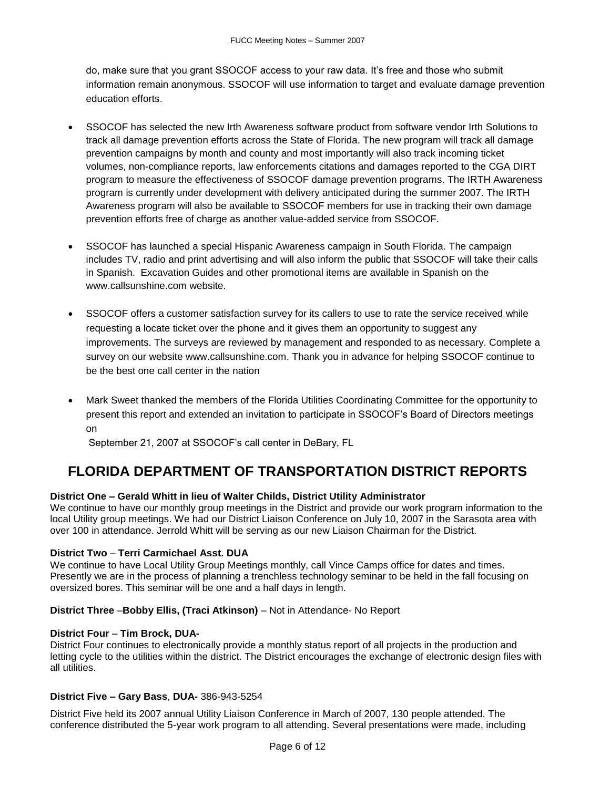do, make sure that you grant SSOCOF access to your raw data. It's free and those who submit information remain anonymous. SSOCOF will use information to target and evaluate damage prevention education efforts.

- SSOCOF has selected the new Irth Awareness software product from software vendor Irth Solutions to track all damage prevention efforts across the State of Florida. The new program will track all damage prevention campaigns by month and county and most importantly will also track incoming ticket volumes, non-compliance reports, law enforcements citations and damages reported to the CGA DIRT program to measure the effectiveness of SSOCOF damage prevention programs. The IRTH Awareness program is currently under development with delivery anticipated during the summer 2007. The IRTH Awareness program will also be available to SSOCOF members for use in tracking their own damage prevention efforts free of charge as another value-added service from SSOCOF.
- SSOCOF has launched a special Hispanic Awareness campaign in South Florida. The campaign includes TV, radio and print advertising and will also inform the public that SSOCOF will take their calls in Spanish. Excavation Guides and other promotional items are available in Spanish on the [www.callsunshine.com](http://www.callsunshine.com/) website.
- SSOCOF offers a customer satisfaction survey for its callers to use to rate the service received while requesting a locate ticket over the phone and it gives them an opportunity to suggest any improvements. The surveys are reviewed by management and responded to as necessary. Complete a survey on our website [www.callsunshine.com.](http://www.callsunshine.com/) Thank you in advance for helping SSOCOF continue to be the best one call center in the nation
- Mark Sweet thanked the members of the Florida Utilities Coordinating Committee for the opportunity to present this report and extended an invitation to participate in SSOCOF's Board of Directors meetings on

September 21, 2007 at SSOCOF's call center in DeBary, FL

## **FLORIDA DEPARTMENT OF TRANSPORTATION DISTRICT REPORTS**

## **District One – Gerald Whitt in lieu of Walter Childs, District Utility Administrator**

We continue to have our monthly group meetings in the District and provide our work program information to the local Utility group meetings. We had our District Liaison Conference on July 10, 2007 in the Sarasota area with over 100 in attendance. Jerrold Whitt will be serving as our new Liaison Chairman for the District.

### **District Two** – **Terri Carmichael Asst. DUA**

We continue to have Local Utility Group Meetings monthly, call Vince Camps office for dates and times. Presently we are in the process of planning a trenchless technology seminar to be held in the fall focusing on oversized bores. This seminar will be one and a half days in length.

## **District Three** –**Bobby Ellis, (Traci Atkinson)** – Not in Attendance- No Report

### **District Four** – **Tim Brock, DUA-**

District Four continues to electronically provide a monthly status report of all projects in the production and letting cycle to the utilities within the district. The District encourages the exchange of electronic design files with all utilities.

### **District Five – Gary Bass**, **DUA-** 386-943-5254

District Five held its 2007 annual Utility Liaison Conference in March of 2007, 130 people attended. The conference distributed the 5-year work program to all attending. Several presentations were made, including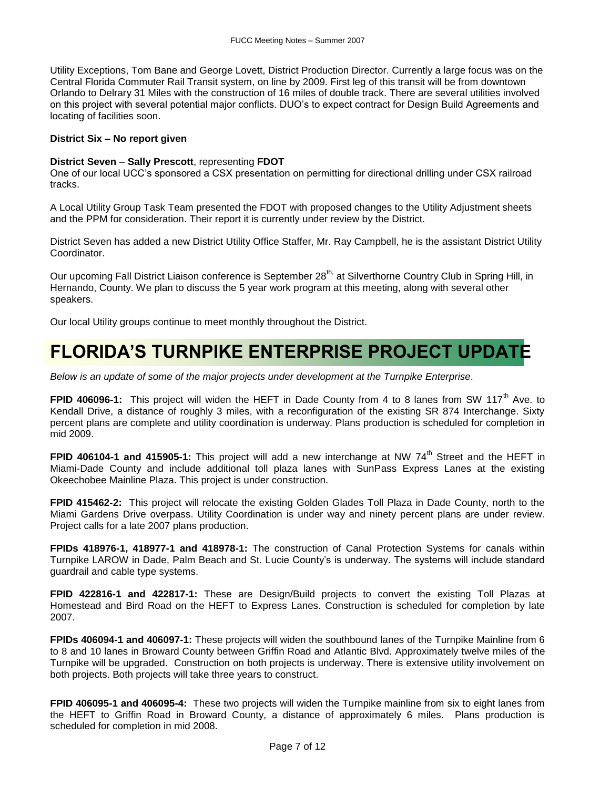Utility Exceptions, Tom Bane and George Lovett, District Production Director. Currently a large focus was on the Central Florida Commuter Rail Transit system, on line by 2009. First leg of this transit will be from downtown Orlando to Delrary 31 Miles with the construction of 16 miles of double track. There are several utilities involved on this project with several potential major conflicts. DUO's to expect contract for Design Build Agreements and locating of facilities soon.

### **District Six – No report given**

### **District Seven** – **Sally Prescott**, representing **FDOT**

One of our local UCC's sponsored a CSX presentation on permitting for directional drilling under CSX railroad tracks.

A Local Utility Group Task Team presented the FDOT with proposed changes to the Utility Adjustment sheets and the PPM for consideration. Their report it is currently under review by the District.

District Seven has added a new District Utility Office Staffer, Mr. Ray Campbell, he is the assistant District Utility Coordinator.

Our upcoming Fall District Liaison conference is September 28<sup>th,</sup> at Silverthorne Country Club in Spring Hill, in Hernando, County. We plan to discuss the 5 year work program at this meeting, along with several other speakers.

Our local Utility groups continue to meet monthly throughout the District.

## **FLORIDA'S TURNPIKE ENTERPRISE PROJECT UPDATE**

*Below is an update of some of the major projects under development at the Turnpike Enterprise.*

**FPID 406096-1:** This project will widen the HEFT in Dade County from 4 to 8 lanes from SW 117<sup>th</sup> Ave. to Kendall Drive, a distance of roughly 3 miles, with a reconfiguration of the existing SR 874 Interchange. Sixty percent plans are complete and utility coordination is underway. Plans production is scheduled for completion in mid 2009.

**FPID 406104-1 and 415905-1:** This project will add a new interchange at NW 74<sup>th</sup> Street and the HEFT in Miami-Dade County and include additional toll plaza lanes with SunPass Express Lanes at the existing Okeechobee Mainline Plaza. This project is under construction.

**FPID 415462-2:** This project will relocate the existing Golden Glades Toll Plaza in Dade County, north to the Miami Gardens Drive overpass. Utility Coordination is under way and ninety percent plans are under review. Project calls for a late 2007 plans production.

**FPIDs 418976-1, 418977-1 and 418978-1:** The construction of Canal Protection Systems for canals within Turnpike LAROW in Dade, Palm Beach and St. Lucie County's is underway. The systems will include standard guardrail and cable type systems.

**FPID 422816-1 and 422817-1:** These are Design/Build projects to convert the existing Toll Plazas at Homestead and Bird Road on the HEFT to Express Lanes. Construction is scheduled for completion by late 2007.

**FPIDs 406094-1 and 406097-1:** These projects will widen the southbound lanes of the Turnpike Mainline from 6 to 8 and 10 lanes in Broward County between Griffin Road and Atlantic Blvd. Approximately twelve miles of the Turnpike will be upgraded. Construction on both projects is underway. There is extensive utility involvement on both projects. Both projects will take three years to construct.

**FPID 406095-1 and 406095-4:** These two projects will widen the Turnpike mainline from six to eight lanes from the HEFT to Griffin Road in Broward County, a distance of approximately 6 miles. Plans production is scheduled for completion in mid 2008.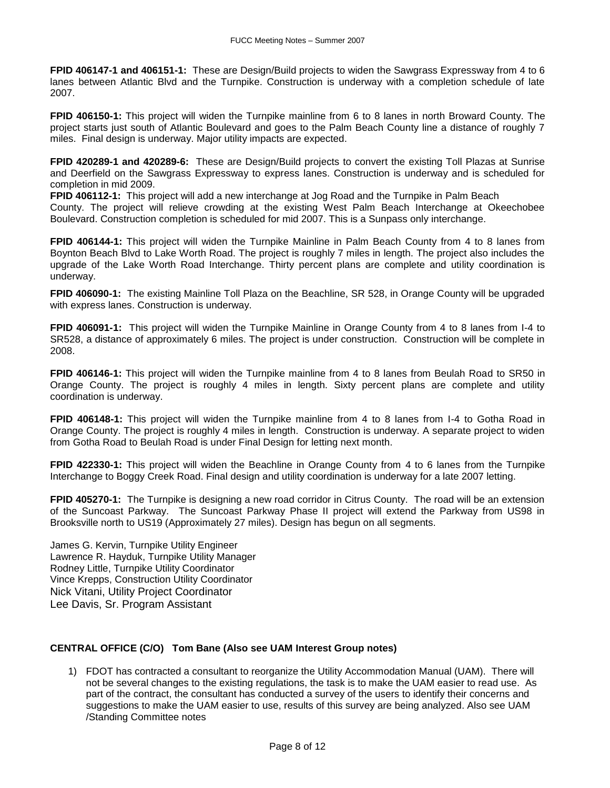**FPID 406147-1 and 406151-1:** These are Design/Build projects to widen the Sawgrass Expressway from 4 to 6 lanes between Atlantic Blvd and the Turnpike. Construction is underway with a completion schedule of late 2007.

**FPID 406150-1:** This project will widen the Turnpike mainline from 6 to 8 lanes in north Broward County. The project starts just south of Atlantic Boulevard and goes to the Palm Beach County line a distance of roughly 7 miles. Final design is underway. Major utility impacts are expected.

**FPID 420289-1 and 420289-6:** These are Design/Build projects to convert the existing Toll Plazas at Sunrise and Deerfield on the Sawgrass Expressway to express lanes. Construction is underway and is scheduled for completion in mid 2009.

**FPID 406112-1:** This project will add a new interchange at Jog Road and the Turnpike in Palm Beach

County. The project will relieve crowding at the existing West Palm Beach Interchange at Okeechobee Boulevard. Construction completion is scheduled for mid 2007. This is a Sunpass only interchange.

**FPID 406144-1:** This project will widen the Turnpike Mainline in Palm Beach County from 4 to 8 lanes from Boynton Beach Blvd to Lake Worth Road. The project is roughly 7 miles in length. The project also includes the upgrade of the Lake Worth Road Interchange. Thirty percent plans are complete and utility coordination is underway.

**FPID 406090-1:** The existing Mainline Toll Plaza on the Beachline, SR 528, in Orange County will be upgraded with express lanes. Construction is underway.

**FPID 406091-1:** This project will widen the Turnpike Mainline in Orange County from 4 to 8 lanes from I-4 to SR528, a distance of approximately 6 miles. The project is under construction. Construction will be complete in 2008.

**FPID 406146-1:** This project will widen the Turnpike mainline from 4 to 8 lanes from Beulah Road to SR50 in Orange County. The project is roughly 4 miles in length. Sixty percent plans are complete and utility coordination is underway.

**FPID 406148-1:** This project will widen the Turnpike mainline from 4 to 8 lanes from I-4 to Gotha Road in Orange County. The project is roughly 4 miles in length. Construction is underway. A separate project to widen from Gotha Road to Beulah Road is under Final Design for letting next month.

**FPID 422330-1:** This project will widen the Beachline in Orange County from 4 to 6 lanes from the Turnpike Interchange to Boggy Creek Road. Final design and utility coordination is underway for a late 2007 letting.

**FPID 405270-1:** The Turnpike is designing a new road corridor in Citrus County. The road will be an extension of the Suncoast Parkway. The Suncoast Parkway Phase II project will extend the Parkway from US98 in Brooksville north to US19 (Approximately 27 miles). Design has begun on all segments.

James G. Kervin, Turnpike Utility Engineer Lawrence R. Hayduk, Turnpike Utility Manager Rodney Little, Turnpike Utility Coordinator Vince Krepps, Construction Utility Coordinator Nick Vitani, Utility Project Coordinator Lee Davis, Sr. Program Assistant

## **CENTRAL OFFICE (C/O) Tom Bane (Also see UAM Interest Group notes)**

1) FDOT has contracted a consultant to reorganize the Utility Accommodation Manual (UAM). There will not be several changes to the existing regulations, the task is to make the UAM easier to read use. As part of the contract, the consultant has conducted a survey of the users to identify their concerns and suggestions to make the UAM easier to use, results of this survey are being analyzed. Also see UAM /Standing Committee notes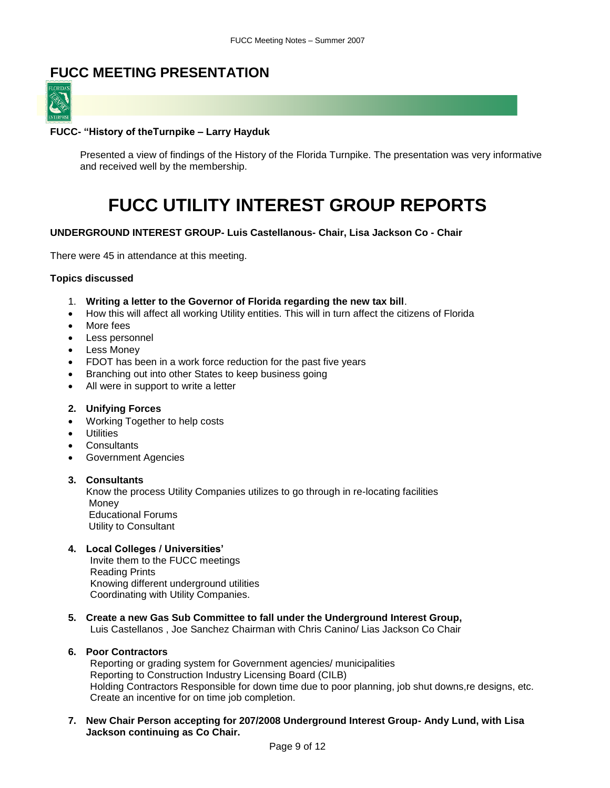## **FUCC MEETING PRESENTATION**



### **FUCC- "History of theTurnpike – Larry Hayduk**

Presented a view of findings of the History of the Florida Turnpike. The presentation was very informative and received well by the membership.

# **FUCC UTILITY INTEREST GROUP REPORTS**

### **UNDERGROUND INTEREST GROUP- Luis Castellanous- Chair, Lisa Jackson Co - Chair**

There were 45 in attendance at this meeting.

#### **Topics discussed**

- 1. **Writing a letter to the Governor of Florida regarding the new tax bill**.
- How this will affect all working Utility entities. This will in turn affect the citizens of Florida
- More fees
- Less personnel
- Less Money
- FDOT has been in a work force reduction for the past five years
- Branching out into other States to keep business going
- All were in support to write a letter

#### **2. Unifying Forces**

- Working Together to help costs
- Utilities
- Consultants
- Government Agencies

#### **3. Consultants**

 Know the process Utility Companies utilizes to go through in re-locating facilities Money Educational Forums Utility to Consultant

### **4. Local Colleges / Universities'**

 Invite them to the FUCC meetings Reading Prints Knowing different underground utilities Coordinating with Utility Companies.

**5. Create a new Gas Sub Committee to fall under the Underground Interest Group,**

Luis Castellanos , Joe Sanchez Chairman with Chris Canino/ Lias Jackson Co Chair

### **6. Poor Contractors**

 Reporting or grading system for Government agencies/ municipalities Reporting to Construction Industry Licensing Board (CILB) Holding Contractors Responsible for down time due to poor planning, job shut downs,re designs, etc. Create an incentive for on time job completion.

**7. New Chair Person accepting for 207/2008 Underground Interest Group- Andy Lund, with Lisa Jackson continuing as Co Chair.**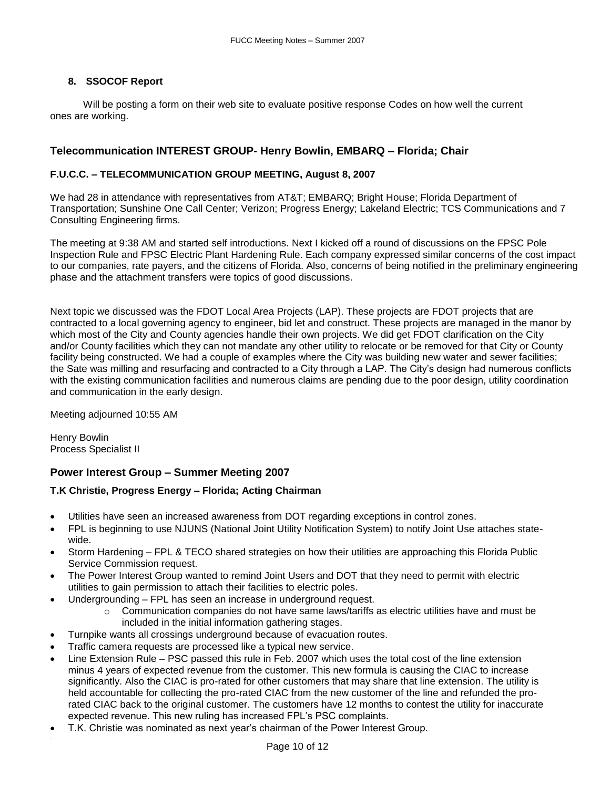## **8. SSOCOF Report**

 Will be posting a form on their web site to evaluate positive response Codes on how well the current ones are working.

## **Telecommunication INTEREST GROUP- Henry Bowlin, EMBARQ – Florida; Chair**

### **F.U.C.C. – TELECOMMUNICATION GROUP MEETING, August 8, 2007**

We had 28 in attendance with representatives from AT&T; EMBARQ; Bright House; Florida Department of Transportation; Sunshine One Call Center; Verizon; Progress Energy; Lakeland Electric; TCS Communications and 7 Consulting Engineering firms.

The meeting at 9:38 AM and started self introductions. Next I kicked off a round of discussions on the FPSC Pole Inspection Rule and FPSC Electric Plant Hardening Rule. Each company expressed similar concerns of the cost impact to our companies, rate payers, and the citizens of Florida. Also, concerns of being notified in the preliminary engineering phase and the attachment transfers were topics of good discussions.

Next topic we discussed was the FDOT Local Area Projects (LAP). These projects are FDOT projects that are contracted to a local governing agency to engineer, bid let and construct. These projects are managed in the manor by which most of the City and County agencies handle their own projects. We did get FDOT clarification on the City and/or County facilities which they can not mandate any other utility to relocate or be removed for that City or County facility being constructed. We had a couple of examples where the City was building new water and sewer facilities; the Sate was milling and resurfacing and contracted to a City through a LAP. The City's design had numerous conflicts with the existing communication facilities and numerous claims are pending due to the poor design, utility coordination and communication in the early design.

Meeting adjourned 10:55 AM

Henry Bowlin Process Specialist II

## **Power Interest Group – Summer Meeting 2007**

## **T.K Christie, Progress Energy – Florida; Acting Chairman**

- Utilities have seen an increased awareness from DOT regarding exceptions in control zones.
- FPL is beginning to use NJUNS (National Joint Utility Notification System) to notify Joint Use attaches statewide.
- Storm Hardening FPL & TECO shared strategies on how their utilities are approaching this Florida Public Service Commission request.
- The Power Interest Group wanted to remind Joint Users and DOT that they need to permit with electric utilities to gain permission to attach their facilities to electric poles.
- Undergrounding FPL has seen an increase in underground request.
	- $\circ$  Communication companies do not have same laws/tariffs as electric utilities have and must be included in the initial information gathering stages.
- Turnpike wants all crossings underground because of evacuation routes.
- Traffic camera requests are processed like a typical new service.
- Line Extension Rule PSC passed this rule in Feb. 2007 which uses the total cost of the line extension minus 4 years of expected revenue from the customer. This new formula is causing the CIAC to increase significantly. Also the CIAC is pro-rated for other customers that may share that line extension. The utility is held accountable for collecting the pro-rated CIAC from the new customer of the line and refunded the prorated CIAC back to the original customer. The customers have 12 months to contest the utility for inaccurate expected revenue. This new ruling has increased FPL's PSC complaints.
- T.K. Christie was nominated as next year's chairman of the Power Interest Group.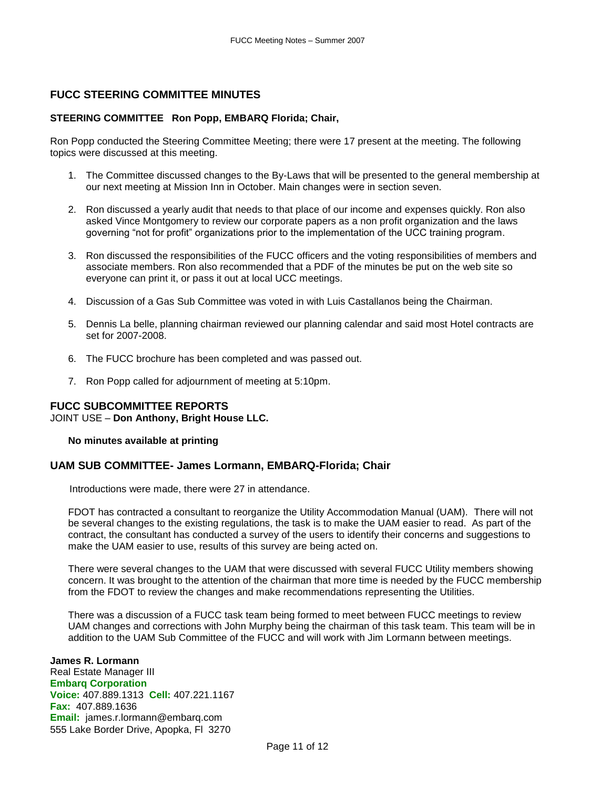## **FUCC STEERING COMMITTEE MINUTES**

### **STEERING COMMITTEE Ron Popp, EMBARQ Florida; Chair,**

Ron Popp conducted the Steering Committee Meeting; there were 17 present at the meeting. The following topics were discussed at this meeting.

- 1. The Committee discussed changes to the By-Laws that will be presented to the general membership at our next meeting at Mission Inn in October. Main changes were in section seven.
- 2. Ron discussed a yearly audit that needs to that place of our income and expenses quickly. Ron also asked Vince Montgomery to review our corporate papers as a non profit organization and the laws governing "not for profit" organizations prior to the implementation of the UCC training program.
- 3. Ron discussed the responsibilities of the FUCC officers and the voting responsibilities of members and associate members. Ron also recommended that a PDF of the minutes be put on the web site so everyone can print it, or pass it out at local UCC meetings.
- 4. Discussion of a Gas Sub Committee was voted in with Luis Castallanos being the Chairman.
- 5. Dennis La belle, planning chairman reviewed our planning calendar and said most Hotel contracts are set for 2007-2008.
- 6. The FUCC brochure has been completed and was passed out.
- 7. Ron Popp called for adjournment of meeting at 5:10pm.

## **FUCC SUBCOMMITTEE REPORTS**

JOINT USE – **Don Anthony, Bright House LLC.** 

**No minutes available at printing**

### **UAM SUB COMMITTEE- James Lormann, EMBARQ-Florida; Chair**

Introductions were made, there were 27 in attendance.

FDOT has contracted a consultant to reorganize the Utility Accommodation Manual (UAM). There will not be several changes to the existing regulations, the task is to make the UAM easier to read. As part of the contract, the consultant has conducted a survey of the users to identify their concerns and suggestions to make the UAM easier to use, results of this survey are being acted on.

There were several changes to the UAM that were discussed with several FUCC Utility members showing concern. It was brought to the attention of the chairman that more time is needed by the FUCC membership from the FDOT to review the changes and make recommendations representing the Utilities.

There was a discussion of a FUCC task team being formed to meet between FUCC meetings to review UAM changes and corrections with John Murphy being the chairman of this task team. This team will be in addition to the UAM Sub Committee of the FUCC and will work with Jim Lormann between meetings.

#### **James R. Lormann** Real Estate Manager III

**Embarq Corporation Voice:** 407.889.1313 **Cell:** 407.221.1167 **Fax:** 407.889.1636 **Email:** [james.r.lormann@embarq.com](mailto:james.r.lormann@embarq.com) 555 Lake Border Drive, Apopka, Fl 3270